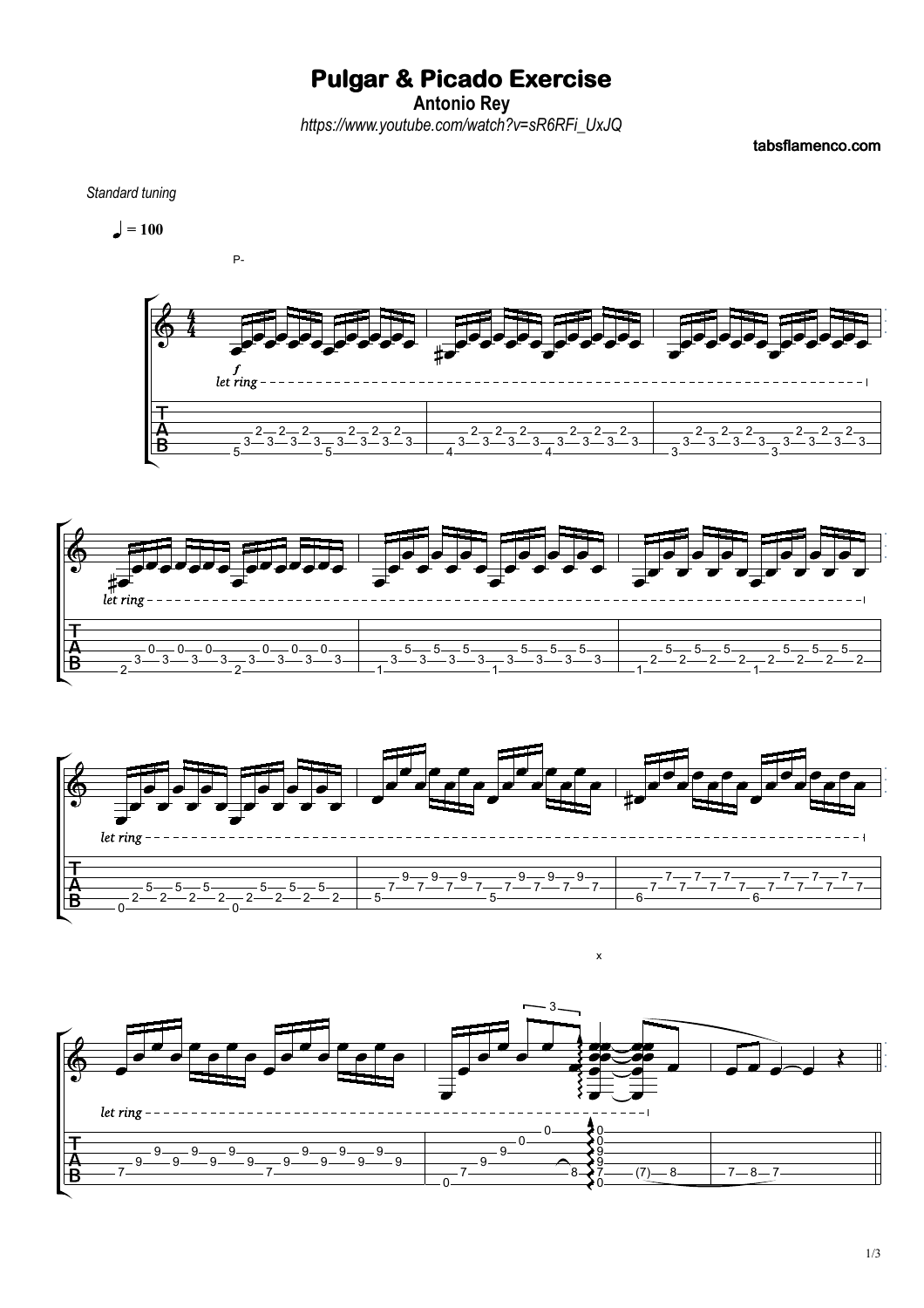## **Pulgar & Picado Exercise**

**Antonio Rey**

*https://www.youtube.com/watch?v=sR6RFi\_UxJQ*

tabsflamenco.com

*Standard tuning*











 $\mathsf{x}$ 

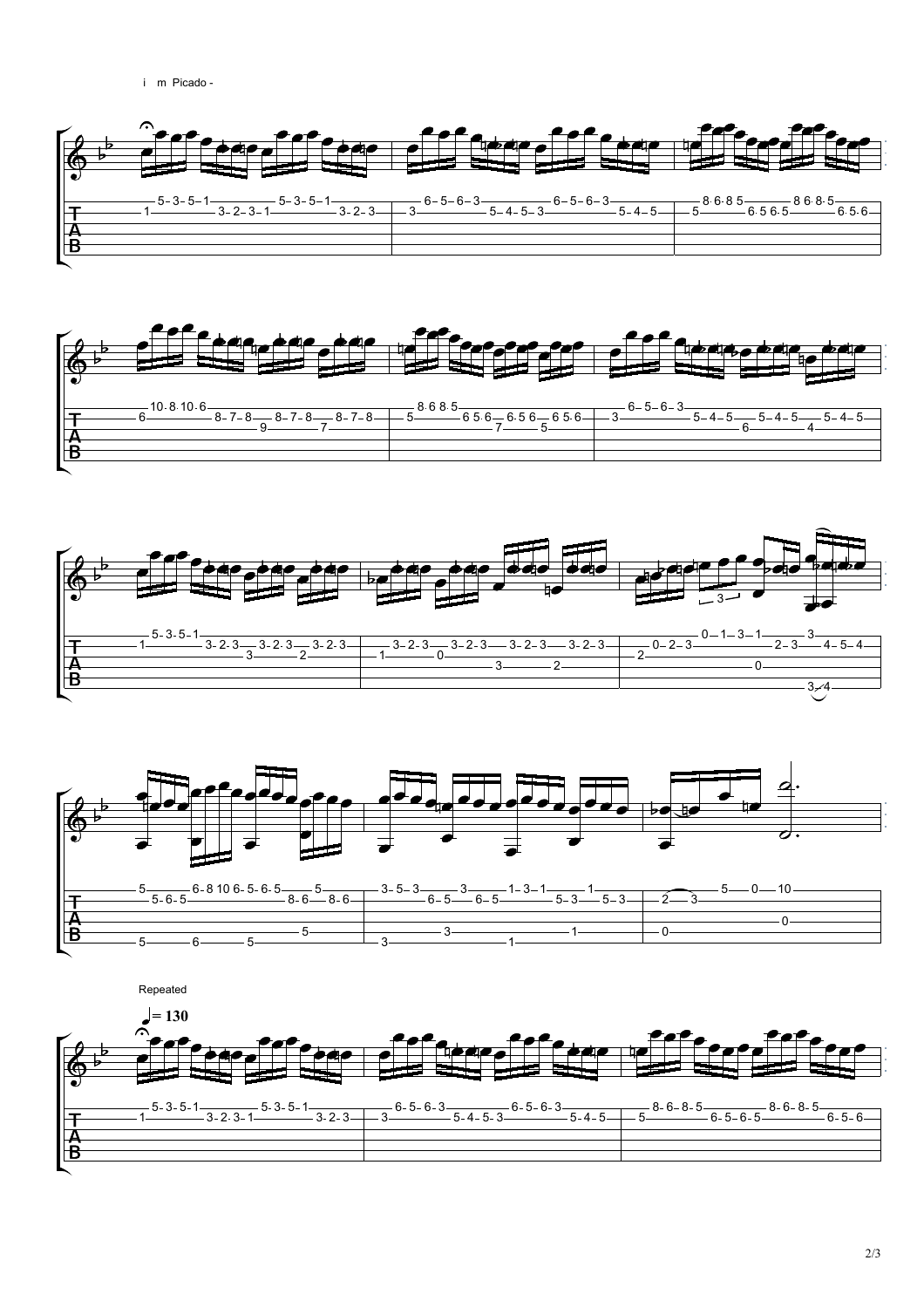









Repeated